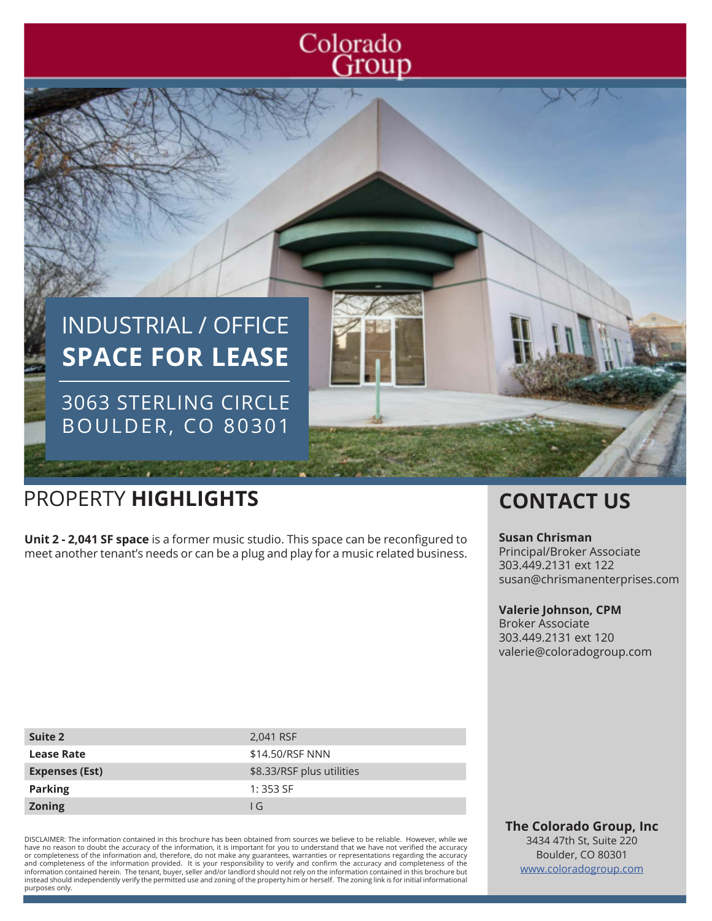# Colorado<br>Group



# PROPERTY **HIGHLIGHTS CONTACT US**

**Unit 2 - 2,041 SF space** is a former music studio. This space can be reconfigured to meet another tenant's needs or can be a plug and play for a music related business.

#### **Susan Chrisman**

Principal/Broker Associate 303.449.2131 ext 122 susan@chrismanenterprises.com

#### **Valerie Johnson, CPM**

Broker Associate 303.449.2131 ext 120 valerie@coloradogroup.com

| Suite 2               | 2,041 RSF                 |
|-----------------------|---------------------------|
| <b>Lease Rate</b>     | \$14,50/RSF NNN           |
| <b>Expenses (Est)</b> | \$8.33/RSF plus utilities |
| <b>Parking</b>        | $1:353$ SF                |
| <b>Zoning</b>         | l G                       |

DISCLAIMER: The information contained in this brochure has been obtained from sources we believe to be reliable. However, while we have no reason to doubt the accuracy of the information, it is important for you to understand that we have not verified the accuracy or completeness of the information and, therefore, do not make any guarantees, warranties or representations regarding the accuracy<br>and completeness of the information provided. It is your responsibility to verify and con instead should independently verify the permitted use and zoning of the property him or herself. The zoning link is for initial informational purposes only.

**The Colorado Group, Inc** 3434 47th St, Suite 220 Boulder, CO 80301 www.coloradogroup.com